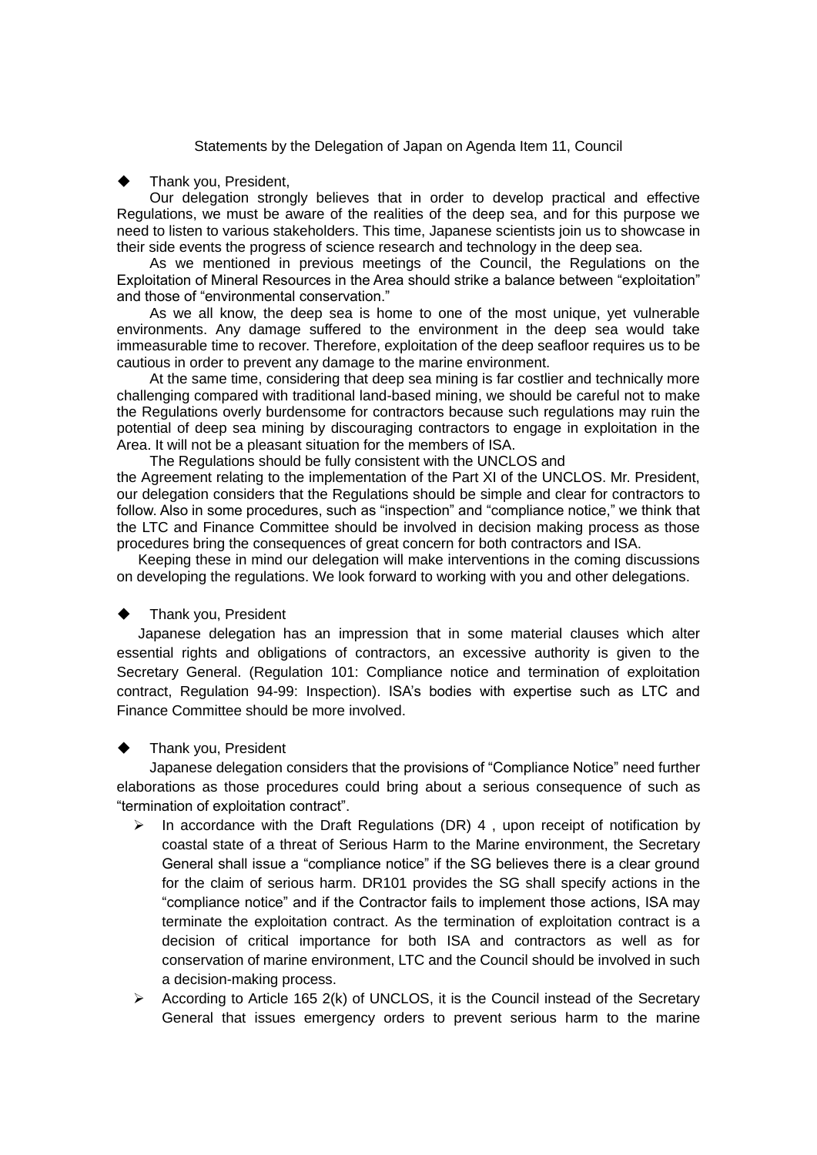Statements by the Delegation of Japan on Agenda Item 11, Council

### Thank you, President,

Our delegation strongly believes that in order to develop practical and effective Regulations, we must be aware of the realities of the deep sea, and for this purpose we need to listen to various stakeholders. This time, Japanese scientists join us to showcase in their side events the progress of science research and technology in the deep sea.

As we mentioned in previous meetings of the Council, the Regulations on the Exploitation of Mineral Resources in the Area should strike a balance between "exploitation" and those of "environmental conservation."

As we all know, the deep sea is home to one of the most unique, yet vulnerable environments. Any damage suffered to the environment in the deep sea would take immeasurable time to recover. Therefore, exploitation of the deep seafloor requires us to be cautious in order to prevent any damage to the marine environment.

At the same time, considering that deep sea mining is far costlier and technically more challenging compared with traditional land-based mining, we should be careful not to make the Regulations overly burdensome for contractors because such regulations may ruin the potential of deep sea mining by discouraging contractors to engage in exploitation in the Area. It will not be a pleasant situation for the members of ISA.

The Regulations should be fully consistent with the UNCLOS and the Agreement relating to the implementation of the Part XI of the UNCLOS. Mr. President, our delegation considers that the Regulations should be simple and clear for contractors to follow. Also in some procedures, such as "inspection" and "compliance notice," we think that the LTC and Finance Committee should be involved in decision making process as those procedures bring the consequences of great concern for both contractors and ISA.

 Keeping these in mind our delegation will make interventions in the coming discussions on developing the regulations. We look forward to working with you and other delegations.

# Thank you, President

 Japanese delegation has an impression that in some material clauses which alter essential rights and obligations of contractors, an excessive authority is given to the Secretary General. (Regulation 101: Compliance notice and termination of exploitation contract, Regulation 94-99: Inspection). ISA's bodies with expertise such as LTC and Finance Committee should be more involved.

# Thank you, President

Japanese delegation considers that the provisions of "Compliance Notice" need further elaborations as those procedures could bring about a serious consequence of such as "termination of exploitation contract".

- $\triangleright$  In accordance with the Draft Regulations (DR) 4, upon receipt of notification by coastal state of a threat of Serious Harm to the Marine environment, the Secretary General shall issue a "compliance notice" if the SG believes there is a clear ground for the claim of serious harm. DR101 provides the SG shall specify actions in the "compliance notice" and if the Contractor fails to implement those actions, ISA may terminate the exploitation contract. As the termination of exploitation contract is a decision of critical importance for both ISA and contractors as well as for conservation of marine environment, LTC and the Council should be involved in such a decision-making process.
- According to Article 165 2(k) of UNCLOS, it is the Council instead of the Secretary General that issues emergency orders to prevent serious harm to the marine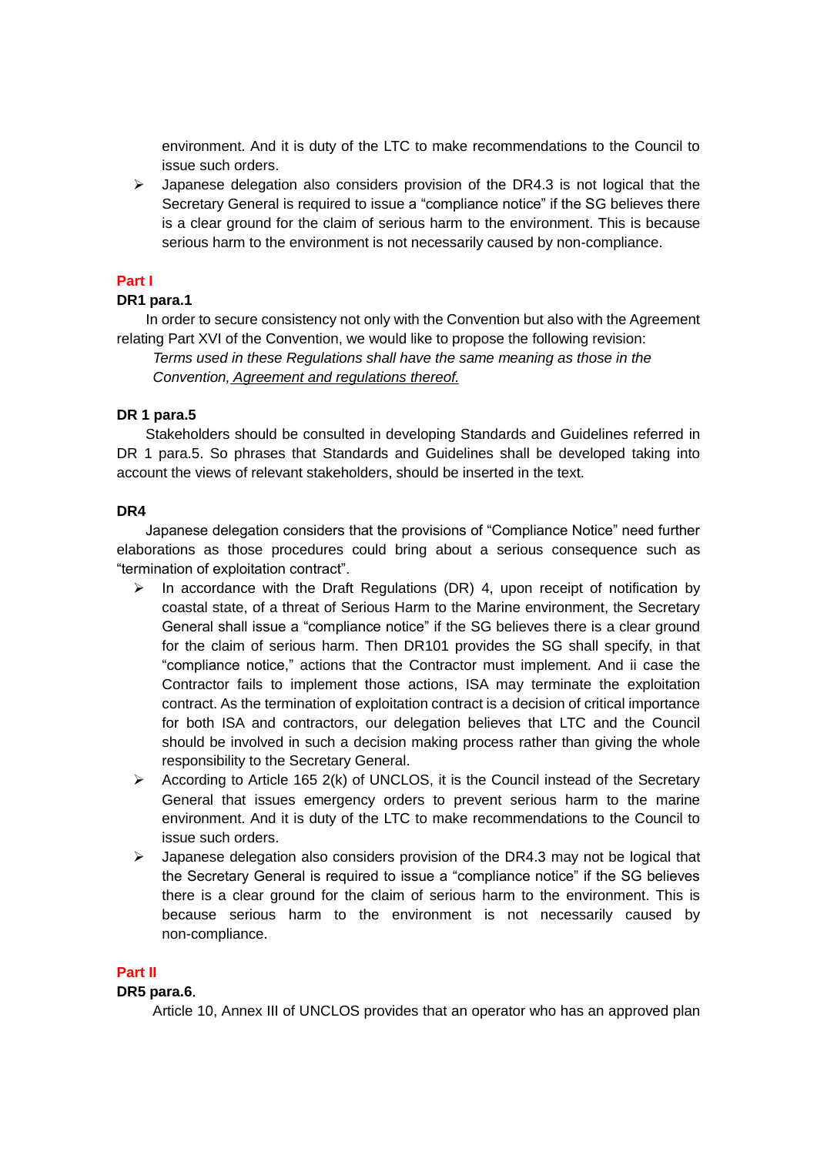environment. And it is duty of the LTC to make recommendations to the Council to issue such orders.

 $\triangleright$  Japanese delegation also considers provision of the DR4.3 is not logical that the Secretary General is required to issue a "compliance notice" if the SG believes there is a clear ground for the claim of serious harm to the environment. This is because serious harm to the environment is not necessarily caused by non-compliance.

# **Part I**

### **DR1 para.1**

In order to secure consistency not only with the Convention but also with the Agreement relating Part XVI of the Convention, we would like to propose the following revision:

*Terms used in these Regulations shall have the same meaning as those in the Convention, Agreement and regulations thereof.*

### **DR 1 para.5**

Stakeholders should be consulted in developing Standards and Guidelines referred in DR 1 para.5. So phrases that Standards and Guidelines shall be developed taking into account the views of relevant stakeholders, should be inserted in the text.

#### **DR4**

Japanese delegation considers that the provisions of "Compliance Notice" need further elaborations as those procedures could bring about a serious consequence such as "termination of exploitation contract".

- In accordance with the Draft Regulations (DR) 4, upon receipt of notification by coastal state, of a threat of Serious Harm to the Marine environment, the Secretary General shall issue a "compliance notice" if the SG believes there is a clear ground for the claim of serious harm. Then DR101 provides the SG shall specify, in that "compliance notice," actions that the Contractor must implement. And ii case the Contractor fails to implement those actions, ISA may terminate the exploitation contract. As the termination of exploitation contract is a decision of critical importance for both ISA and contractors, our delegation believes that LTC and the Council should be involved in such a decision making process rather than giving the whole responsibility to the Secretary General.
- According to Article 165 2(k) of UNCLOS, it is the Council instead of the Secretary General that issues emergency orders to prevent serious harm to the marine environment. And it is duty of the LTC to make recommendations to the Council to issue such orders.
- $\triangleright$  Japanese delegation also considers provision of the DR4.3 may not be logical that the Secretary General is required to issue a "compliance notice" if the SG believes there is a clear ground for the claim of serious harm to the environment. This is because serious harm to the environment is not necessarily caused by non-compliance.

# **Part II**

#### **DR5 para.6**.

Article 10, Annex III of UNCLOS provides that an operator who has an approved plan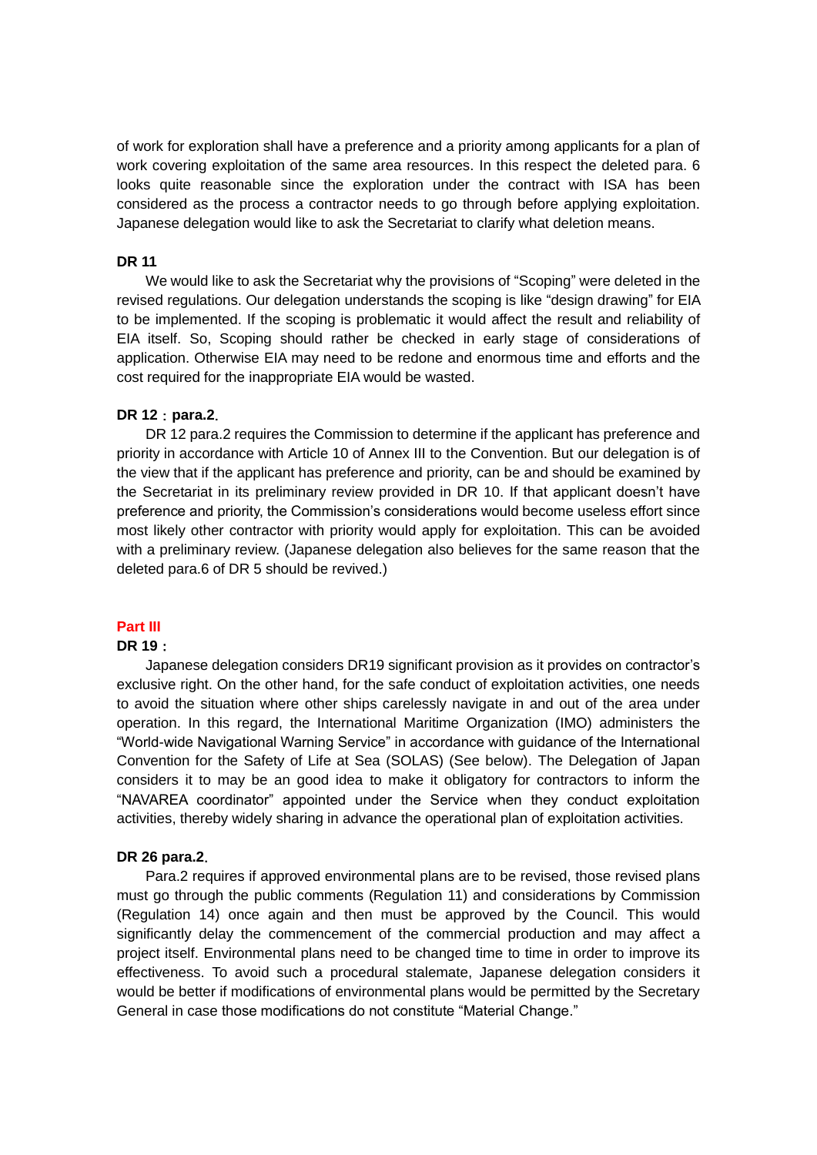of work for exploration shall have a preference and a priority among applicants for a plan of work covering exploitation of the same area resources. In this respect the deleted para. 6 looks quite reasonable since the exploration under the contract with ISA has been considered as the process a contractor needs to go through before applying exploitation. Japanese delegation would like to ask the Secretariat to clarify what deletion means.

### **DR 11**

We would like to ask the Secretariat why the provisions of "Scoping" were deleted in the revised regulations. Our delegation understands the scoping is like "design drawing" for EIA to be implemented. If the scoping is problematic it would affect the result and reliability of EIA itself. So, Scoping should rather be checked in early stage of considerations of application. Otherwise EIA may need to be redone and enormous time and efforts and the cost required for the inappropriate EIA would be wasted.

### **DR 12**:**para.2**.

DR 12 para.2 requires the Commission to determine if the applicant has preference and priority in accordance with Article 10 of Annex III to the Convention. But our delegation is of the view that if the applicant has preference and priority, can be and should be examined by the Secretariat in its preliminary review provided in DR 10. If that applicant doesn't have preference and priority, the Commission's considerations would become useless effort since most likely other contractor with priority would apply for exploitation. This can be avoided with a preliminary review. (Japanese delegation also believes for the same reason that the deleted para.6 of DR 5 should be revived.)

# **Part III**

#### **DR 19**:

Japanese delegation considers DR19 significant provision as it provides on contractor's exclusive right. On the other hand, for the safe conduct of exploitation activities, one needs to avoid the situation where other ships carelessly navigate in and out of the area under operation. In this regard, the International Maritime Organization (IMO) administers the "World-wide Navigational Warning Service" in accordance with guidance of the International Convention for the Safety of Life at Sea (SOLAS) (See below). The Delegation of Japan considers it to may be an good idea to make it obligatory for contractors to inform the "NAVAREA coordinator" appointed under the Service when they conduct exploitation activities, thereby widely sharing in advance the operational plan of exploitation activities.

#### **DR 26 para.2**.

Para.2 requires if approved environmental plans are to be revised, those revised plans must go through the public comments (Regulation 11) and considerations by Commission (Regulation 14) once again and then must be approved by the Council. This would significantly delay the commencement of the commercial production and may affect a project itself. Environmental plans need to be changed time to time in order to improve its effectiveness. To avoid such a procedural stalemate, Japanese delegation considers it would be better if modifications of environmental plans would be permitted by the Secretary General in case those modifications do not constitute "Material Change."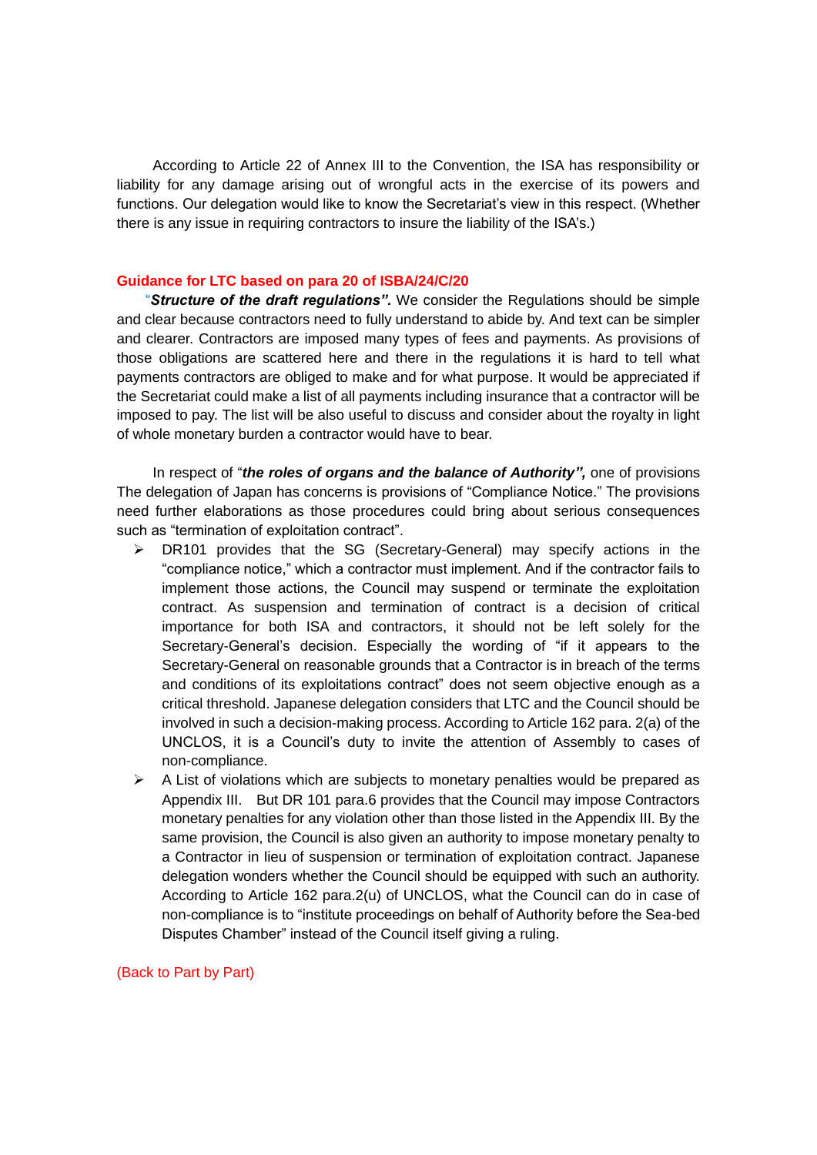According to Article 22 of Annex III to the Convention, the ISA has responsibility or liability for any damage arising out of wrongful acts in the exercise of its powers and functions. Our delegation would like to know the Secretariat's view in this respect. (Whether there is any issue in requiring contractors to insure the liability of the ISA's.)

#### **Guidance for LTC based on para 20 of ISBA/24/C/20**

"*Structure of the draft regulations".* We consider the Regulations should be simple and clear because contractors need to fully understand to abide by. And text can be simpler and clearer. Contractors are imposed many types of fees and payments. As provisions of those obligations are scattered here and there in the regulations it is hard to tell what payments contractors are obliged to make and for what purpose. It would be appreciated if the Secretariat could make a list of all payments including insurance that a contractor will be imposed to pay. The list will be also useful to discuss and consider about the royalty in light of whole monetary burden a contractor would have to bear.

In respect of "*the roles of organs and the balance of Authority",* one of provisions The delegation of Japan has concerns is provisions of "Compliance Notice." The provisions need further elaborations as those procedures could bring about serious consequences such as "termination of exploitation contract".

- $\triangleright$  DR101 provides that the SG (Secretary-General) may specify actions in the "compliance notice," which a contractor must implement. And if the contractor fails to implement those actions, the Council may suspend or terminate the exploitation contract. As suspension and termination of contract is a decision of critical importance for both ISA and contractors, it should not be left solely for the Secretary-General's decision. Especially the wording of "if it appears to the Secretary-General on reasonable grounds that a Contractor is in breach of the terms and conditions of its exploitations contract" does not seem objective enough as a critical threshold. Japanese delegation considers that LTC and the Council should be involved in such a decision-making process. According to Article 162 para. 2(a) of the UNCLOS, it is a Council's duty to invite the attention of Assembly to cases of non-compliance.
- $\triangleright$  A List of violations which are subjects to monetary penalties would be prepared as Appendix III. But DR 101 para.6 provides that the Council may impose Contractors monetary penalties for any violation other than those listed in the Appendix III. By the same provision, the Council is also given an authority to impose monetary penalty to a Contractor in lieu of suspension or termination of exploitation contract. Japanese delegation wonders whether the Council should be equipped with such an authority. According to Article 162 para.2(u) of UNCLOS, what the Council can do in case of non-compliance is to "institute proceedings on behalf of Authority before the Sea-bed Disputes Chamber" instead of the Council itself giving a ruling.

### (Back to Part by Part)